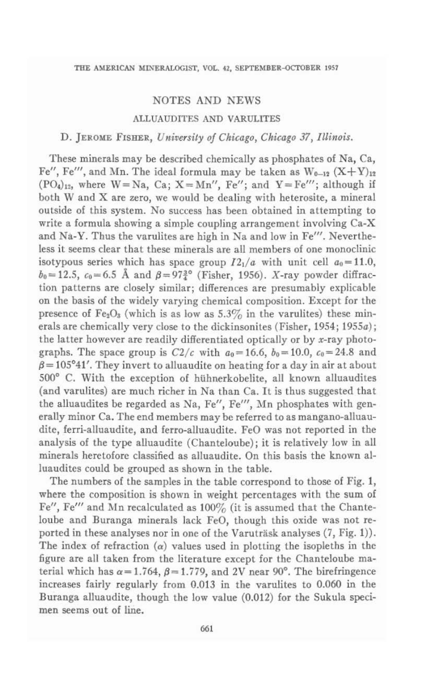# NOTES AND NEWS

### ALLUAUDITES AND VARULITES

# D. JEROME FISHER, *UnifleTsity of Chicago, Chicago* 37, *Illinois.*

These minerals may be described chemically as phosphates of Na, Ca, Fe", Fe"', and Mn. The ideal formula may be taken as  $W_{0-12}$   $(X+Y)_{12}$  $(PO_4)_{12}$ , where  $W = Na$ ,  $Ca$ ;  $X = Mn''$ ,  $Fe''$ ; and  $Y = Fe'''$ ; although if both W and X are zero, we would be dealing with heterosite, a mineral outside of this system. No success has been obtained in attempting to write a formula showing a simple coupling arrangement involving Ca-X and Na-Y. Thus the varulites are high in Na and low in Fe'''. Nevertheless it seems clear that these minerals are all members of one monoclinic isotypous series which has space group  $I2_1/a$  with unit cell  $a_0=11.0$ ,  $b_0 = 12.5$ ,  $c_0 = 6.5$  Å and  $\beta = 97\frac{3}{4}$ <sup>o</sup> (Fisher, 1956). *X*-ray powder diffraction patterns are closely similar; differences are presumably explicable on the basis of the widely varying chemical composition. Except for the presence of  $Fe<sub>2</sub>O<sub>3</sub>$  (which is as low as 5.3% in the varulites) these minerals are chemically very close to the dickinsonites (Fisher, 1954; 1955a); the latter however are readily differentiated optically or by x-ray photographs. The space group is  $C2/c$  with  $a_0 = 16.6$ ,  $b_0 = 10.0$ ,  $c_0 = 24.8$  and  $\beta$  = 105°41'. They invert to alluaudite on heating for a day in air at about 500° C. With the exception of hühnerkobelite, all known alluaudites (and varulites) are much richer in Na than Ca. It is thus suggested that the alluaudites be regarded as Na, Fe", Fe"', Mn phosphates with generally minor Ca. The end members may be referred to as mangano-alluaudite, ferri-alluaudite, and ferro-alluaudite. FeO was not reported in the analysis of the type alluaudite (Chanteloube); it is relatively low in all minerals heretofore classified as alluaudite. On this basis the known al· luaudites could be grouped as shown in the table.

The numbers of the samples in the table correspond to those of Fig. 1, where the composition is shown in weight percentages with the sum of Fe", Fe'" and Aln recalculated as 100% (it is assumed that the Chanteloube and Buranga minerals lack FeD, though this oxide was not reported in these analyses nor in one of the Varuträsk analyses  $(7, Fig. 1)$ . The index of refraction  $(\alpha)$  values used in plotting the isopleths in the figure are all taken from the literature except for the ChanteJoube material which has  $\alpha = 1.764$ ,  $\beta = 1.779$ , and 2V near 90°. The birefringence increases fairly regularly from 0.013 in the varulites to 0.060 in the Buranga alluaudite, though the low value (0.012) for the Sukula specimen seems out of line.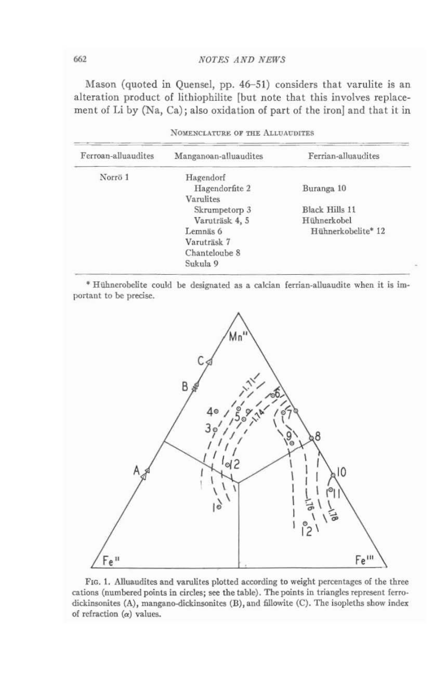## **NOTES AND NEWS**

Mason (quoted in Quensel, pp. 46–51) considers that varulite is an alteration product of lithiophilite [but note that this involves replacement of Li by (Na, Ca); also oxidation of part of the iron] and that it in

| Ferroan-alluaudites | Manganoan-alluaudites | Ferrian-alluaudites |
|---------------------|-----------------------|---------------------|
| Norrö <sub>1</sub>  | Hagendorf             |                     |
|                     | Hagendorfite 2        | Buranga 10          |
|                     | Varulites             |                     |
|                     | Skrumpetorp 3         | Black Hills 11      |
|                     | Varuträsk 4, 5        | Hühnerkobel         |
|                     | Lemnäs 6              | Hühnerkobelite* 12  |
|                     | Varuträsk 7           |                     |
|                     | Chanteloube 8         |                     |
|                     | Sukula 9              |                     |

| NOMENCLATURE OF THE ALLUAUDITES |  |  |  |
|---------------------------------|--|--|--|
|---------------------------------|--|--|--|

\* Hühnerobelite could be designated as a calcian ferrian-alluaudite when it is important to be precise.



FIG. 1. Alluaudites and varulites plotted according to weight percentages of the three cations (numbered points in circles; see the table). The points in triangles represent ferrodickinsonites (A), mangano-dickinsonites (B), and fillowite (C). The isopleths show index of refraction  $(\alpha)$  values.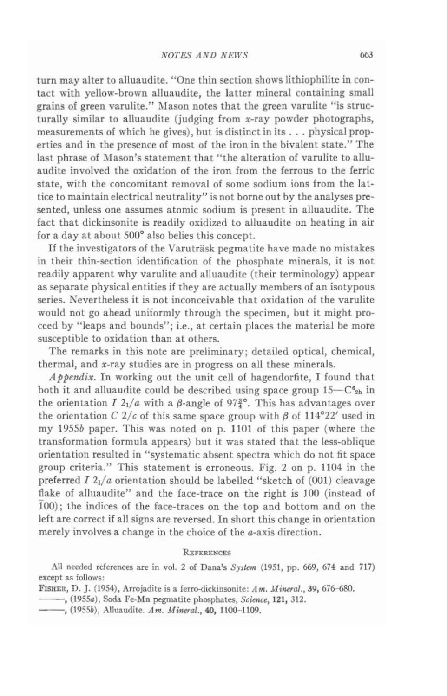turn may alter to alluaudite. "One thin section shows lithiophilite in contact with yellow-brown alluaudite, the latter mineral containing small grains of green varulite." Mason notes that the green varulite "is structurally similar to alluaudite (judging from x-ray powder photographs, measurements of which he gives), but is distinct in its ... physical properties and in the presence of most of the iron in the bivalent state." The last phrase of Mason's statement that "the alteration of varulite to alluaudite involved the oxidation of the iron from the ferrous to the ferric state, with the concomitant removal of some sodium ions from the lat· tice to maintain electrical neutrality" is not borne out by the analyses presented, unless one assumes atomic sodium is present in alluaudite. The fact that dickinsonite is readily oxidized to alluaudite on heating in air for a day at about 500" also belies this concept.

If the investigators of the Varuträsk pegmatite have made no mistakes in their thin-section identification of the phosphate minerals, it is not readily apparent why varulite and alluaudite (their terminology) appear as separate physical entities if they are actually members of an isotypous series. Nevertheless it is not inconceivable that oxidation of the varulite would not go ahead uniformly through the specimen, but it might proceed by "leaps and bounds"; Le., at certain places the material be more susceptible to oxidation than at others.

The remarks in this note are preliminary; detailed optical, chemical, thermal, and x-ray studies are in progress on all these minerals.

*Appendix*. In working out the unit cell of hagendorfite, I found that both it and alluaudite could be described using space group  $15-C_{2h}$  in the orientation  $I$   $2<sub>1</sub>/a$  with a  $\beta$ -angle of  $97\frac{3}{4}$ °. This has advantages over the orientation C  $2/c$  of this same space group with  $\beta$  of 114°22' used in my *1955b* paper. This was noted on p. 1101 of this paper (where the transformation formula appears) but it was stated that the less-oblique orientation resulted in "systematic absent spectra which do not fit space group criteria." This statement is erroneous. Fig. 2 on p. 1104 in the preferred *I* 2<sub>1</sub>/a orientation should be labelled "sketch of (001) cleavage flake of alluaudite" and the face-trace on the right is 100 (instead of *TOO);* the indices of the face-traces on the top and bottom and on the left are correct if all signs are reversed. In short this change in orientation merely involves a change in the choice of the a-axis direction.

### **REFERENCES**

All needed references are in vol. 2 of Dana's *System* (1951, pp. 669, 674 and 717) except as follows:

FISHER, D. J. (1954), Arrojadite is a ferro-Qickinsonile: *A* Ill. AfinaoJ., 39, 676-680. --, *(I95Sa),* Soda Fe-Mn pegmatite phosphates, S,~c, UI, 312.

- (1955a), Soda Fe-Mn pegmatite phosphates, *Science*, 121, 312.<br>
-, (1955b), Alluaudite. Am. Mineral., 40, 1100-1109.
-